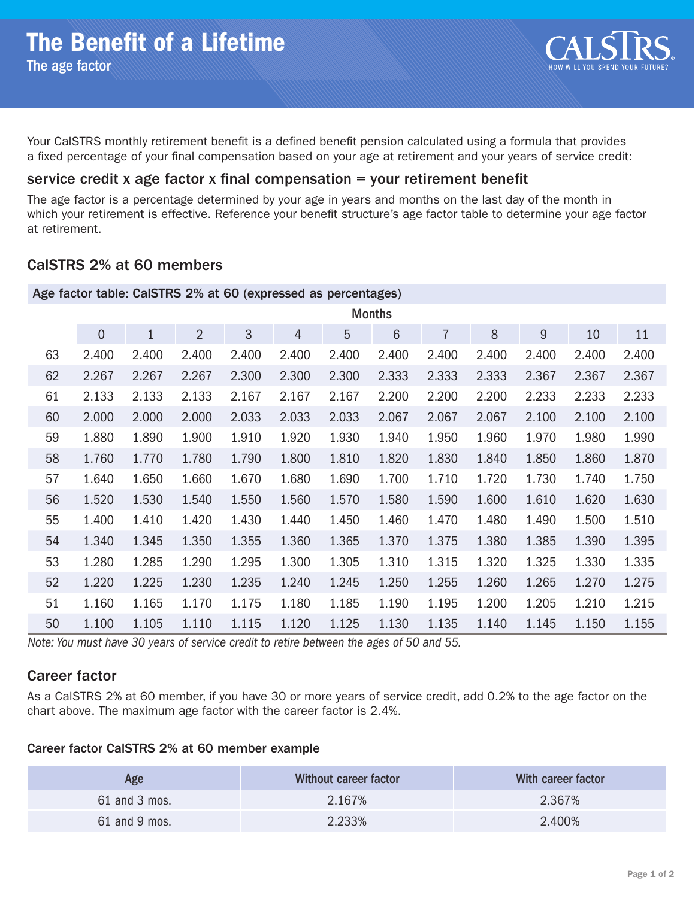

Your CalSTRS monthly retirement benefit is a defined benefit pension calculated using a formula that provides a fixed percentage of your final compensation based on your age at retirement and your years of service credit:

### service credit x age factor x final compensation  $=$  your retirement benefit

Age factor table: CalSTRS 2% at 60 (expressed as percentages)

The age factor is a percentage determined by your age in years and months on the last day of the month in which your retirement is effective. Reference your benefit structure's age factor table to determine your age factor at retirement.

### CalSTRS 2% at 60 members

|    | <b>Months</b> |              |                |       |                |       |                |                |       |                |       |       |
|----|---------------|--------------|----------------|-------|----------------|-------|----------------|----------------|-------|----------------|-------|-------|
|    | $\theta$      | $\mathbf{1}$ | $\overline{2}$ | 3     | $\overline{4}$ | 5     | $6\phantom{1}$ | $\overline{7}$ | 8     | $\overline{9}$ | 10    | 11    |
| 63 | 2.400         | 2.400        | 2.400          | 2.400 | 2.400          | 2.400 | 2.400          | 2.400          | 2.400 | 2.400          | 2.400 | 2.400 |
| 62 | 2.267         | 2.267        | 2.267          | 2.300 | 2.300          | 2.300 | 2.333          | 2.333          | 2.333 | 2.367          | 2.367 | 2.367 |
| 61 | 2.133         | 2.133        | 2.133          | 2.167 | 2.167          | 2.167 | 2.200          | 2.200          | 2.200 | 2.233          | 2.233 | 2.233 |
| 60 | 2.000         | 2.000        | 2.000          | 2.033 | 2.033          | 2.033 | 2.067          | 2.067          | 2.067 | 2.100          | 2.100 | 2.100 |
| 59 | 1.880         | 1.890        | 1.900          | 1.910 | 1.920          | 1.930 | 1.940          | 1.950          | 1.960 | 1.970          | 1.980 | 1.990 |
| 58 | 1.760         | 1.770        | 1.780          | 1.790 | 1.800          | 1.810 | 1.820          | 1.830          | 1.840 | 1.850          | 1.860 | 1.870 |
| 57 | 1.640         | 1.650        | 1.660          | 1.670 | 1.680          | 1.690 | 1.700          | 1.710          | 1.720 | 1.730          | 1.740 | 1.750 |
| 56 | 1.520         | 1.530        | 1.540          | 1.550 | 1.560          | 1.570 | 1.580          | 1.590          | 1.600 | 1.610          | 1.620 | 1.630 |
| 55 | 1.400         | 1.410        | 1.420          | 1.430 | 1.440          | 1.450 | 1.460          | 1.470          | 1.480 | 1.490          | 1.500 | 1.510 |
| 54 | 1.340         | 1.345        | 1.350          | 1.355 | 1.360          | 1.365 | 1.370          | 1.375          | 1.380 | 1.385          | 1.390 | 1.395 |
| 53 | 1.280         | 1.285        | 1.290          | 1.295 | 1.300          | 1.305 | 1.310          | 1.315          | 1.320 | 1.325          | 1.330 | 1.335 |
| 52 | 1.220         | 1.225        | 1.230          | 1.235 | 1.240          | 1.245 | 1.250          | 1.255          | 1.260 | 1.265          | 1.270 | 1.275 |
| 51 | 1.160         | 1.165        | 1.170          | 1.175 | 1.180          | 1.185 | 1.190          | 1.195          | 1.200 | 1.205          | 1.210 | 1.215 |
| 50 | 1.100         | 1.105        | 1.110          | 1.115 | 1.120          | 1.125 | 1.130          | 1.135          | 1.140 | 1.145          | 1.150 | 1.155 |

*Note: You must have 30 years of service credit to retire between the ages of 50 and 55.*

### Career factor

As a CalSTRS 2% at 60 member, if you have 30 or more years of service credit, add 0.2% to the age factor on the chart above. The maximum age factor with the career factor is 2.4%.

#### Career factor CalSTRS 2% at 60 member example

| Age             | Without career factor | With career factor |
|-----------------|-----------------------|--------------------|
| $61$ and 3 mos. | 2.167%                | 2.367%             |
| 61 and 9 mos.   | 2.233%                | 2.400%             |